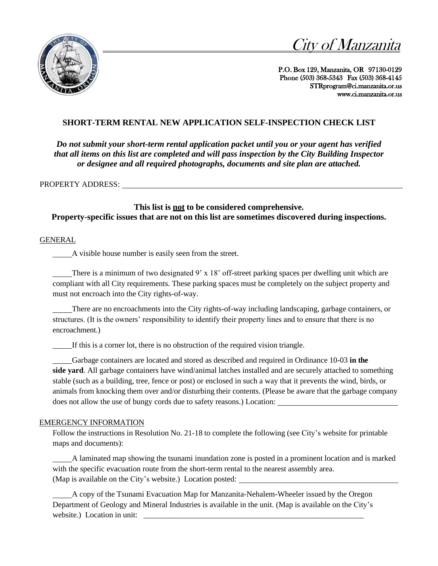



P.O. Box 129, Manzanita, OR 97130-0129 Phone (503) 368-5343 Fax (503) 368-4145 [STRprogram@ci.manzanita.or.us](mailto:STRprogram@ci.manzanita.or.us) [www.ci.manzanita.or.us](http://www.ci.manzanita.or.us/) 

## **SHORT-TERM RENTAL NEW APPLICATION SELF-INSPECTION CHECK LIST**

*Do not submit your short-term rental application packet until you or your agent has verified that all items on this list are completed and will pass inspection by the City Building Inspector or designee and all required photographs, documents and site plan are attached.*

PROPERTY ADDRESS:

**This list is not to be considered comprehensive. Property-specific issues that are not on this list are sometimes discovered during inspections.**

## GENERAL

A visible house number is easily seen from the street.

There is a minimum of two designated  $9' \times 18'$  off-street parking spaces per dwelling unit which are compliant with all City requirements. These parking spaces must be completely on the subject property and must not encroach into the City rights-of-way.

There are no encroachments into the City rights-of-way including landscaping, garbage containers, or structures. (It is the owners' responsibility to identify their property lines and to ensure that there is no encroachment.)

If this is a corner lot, there is no obstruction of the required vision triangle.

Garbage containers are located and stored as described and required in Ordinance 10-03 **in the side yard**. All garbage containers have wind/animal latches installed and are securely attached to something stable (such as a building, tree, fence or post) or enclosed in such a way that it prevents the wind, birds, or animals from knocking them over and/or disturbing their contents. (Please be aware that the garbage company does not allow the use of bungy cords due to safety reasons.) Location:

## EMERGENCY INFORMATION

Follow the instructions in Resolution No. 21-18 to complete the following (see City's website for printable maps and documents):

A laminated map showing the tsunami inundation zone is posted in a prominent location and is marked with the specific evacuation route from the short-term rental to the nearest assembly area. (Map is available on the City's website.) Location posted:

A copy of the Tsunami Evacuation Map for Manzanita-Nehalem-Wheeler issued by the Oregon Department of Geology and Mineral Industries is available in the unit. (Map is available on the City's website.) Location in unit: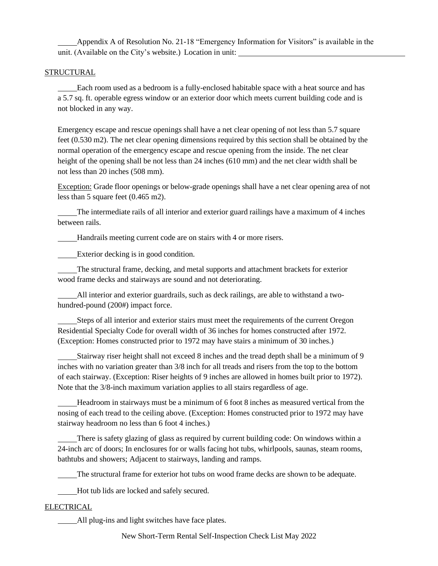Appendix A of Resolution No. 21-18 "Emergency Information for Visitors" is available in the unit. (Available on the City's website.) Location in unit:

## STRUCTURAL

Each room used as a bedroom is a fully-enclosed habitable space with a heat source and has a 5.7 sq. ft. operable egress window or an exterior door which meets current building code and is not blocked in any way.

Emergency escape and rescue openings shall have a net clear opening of not less than 5.7 square feet (0.530 m2). The net clear opening dimensions required by this section shall be obtained by the normal operation of the emergency escape and rescue opening from the inside. The net clear height of the opening shall be not less than 24 inches (610 mm) and the net clear width shall be not less than 20 inches (508 mm).

Exception: Grade floor openings or below-grade openings shall have a net clear opening area of not less than 5 square feet (0.465 m2).

The intermediate rails of all interior and exterior guard railings have a maximum of 4 inches between rails.

Handrails meeting current code are on stairs with 4 or more risers.

Exterior decking is in good condition.

The structural frame, decking, and metal supports and attachment brackets for exterior wood frame decks and stairways are sound and not deteriorating.

All interior and exterior guardrails, such as deck railings, are able to withstand a twohundred-pound (200#) impact force.

Steps of all interior and exterior stairs must meet the requirements of the current Oregon Residential Specialty Code for overall width of 36 inches for homes constructed after 1972. (Exception: Homes constructed prior to 1972 may have stairs a minimum of 30 inches.)

Stairway riser height shall not exceed 8 inches and the tread depth shall be a minimum of 9 inches with no variation greater than 3/8 inch for all treads and risers from the top to the bottom of each stairway. (Exception: Riser heights of 9 inches are allowed in homes built prior to 1972). Note that the 3/8-inch maximum variation applies to all stairs regardless of age.

Headroom in stairways must be a minimum of 6 foot 8 inches as measured vertical from the nosing of each tread to the ceiling above. (Exception: Homes constructed prior to 1972 may have stairway headroom no less than 6 foot 4 inches.)

There is safety glazing of glass as required by current building code: On windows within a 24-inch arc of doors; In enclosures for or walls facing hot tubs, whirlpools, saunas, steam rooms, bathtubs and showers; Adjacent to stairways, landing and ramps.

The structural frame for exterior hot tubs on wood frame decks are shown to be adequate.

Hot tub lids are locked and safely secured.

## ELECTRICAL

All plug-ins and light switches have face plates.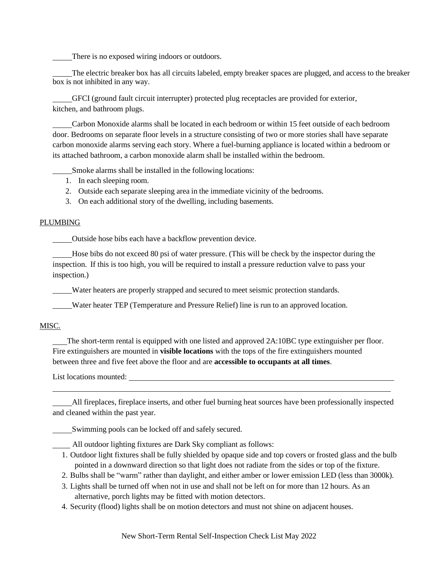There is no exposed wiring indoors or outdoors.

The electric breaker box has all circuits labeled, empty breaker spaces are plugged, and access to the breaker box is not inhibited in any way.

GFCI (ground fault circuit interrupter) protected plug receptacles are provided for exterior, kitchen, and bathroom plugs.

Carbon Monoxide alarms shall be located in each bedroom or within 15 feet outside of each bedroom door. Bedrooms on separate floor levels in a structure consisting of two or more stories shall have separate carbon monoxide alarms serving each story. Where a fuel-burning appliance is located within a bedroom or its attached bathroom, a carbon monoxide alarm shall be installed within the bedroom.

Smoke alarms shall be installed in the following locations:

- 1. In each sleeping room.
- 2. Outside each separate sleeping area in the immediate vicinity of the bedrooms.
- 3. On each additional story of the dwelling, including basements.

#### PLUMBING

Outside hose bibs each have a backflow prevention device.

Hose bibs do not exceed 80 psi of water pressure. (This will be check by the inspector during the inspection. If this is too high, you will be required to install a pressure reduction valve to pass your inspection.)

Water heaters are properly strapped and secured to meet seismic protection standards.

Water heater TEP (Temperature and Pressure Relief) line is run to an approved location.

## MISC.

 The short-term rental is equipped with one listed and approved 2A:10BC type extinguisher per floor. Fire extinguishers are mounted in **visible locations** with the tops of the fire extinguishers mounted between three and five feet above the floor and are **accessible to occupants at all times**.

List locations mounted:

All fireplaces, fireplace inserts, and other fuel burning heat sources have been professionally inspected and cleaned within the past year.

Swimming pools can be locked off and safely secured.

All outdoor lighting fixtures are Dark Sky compliant as follows:

- 1. Outdoor light fixtures shall be fully shielded by opaque side and top covers or frosted glass and the bulb pointed in a downward direction so that light does not radiate from the sides or top of the fixture.
- 2. Bulbs shall be "warm" rather than daylight, and either amber or lower emission LED (less than 3000k).
- 3. Lights shall be turned off when not in use and shall not be left on for more than 12 hours. As an alternative, porch lights may be fitted with motion detectors.
- 4. Security (flood) lights shall be on motion detectors and must not shine on adjacent houses.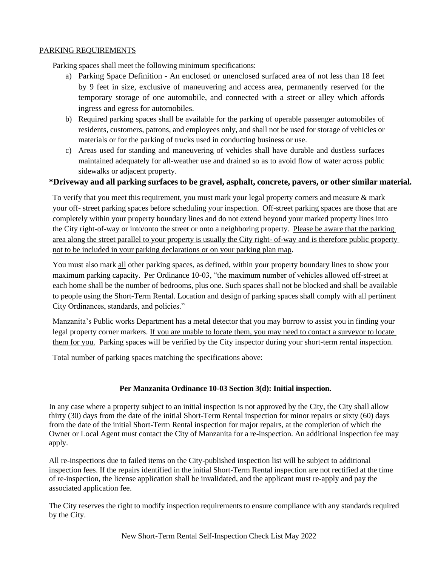## PARKING REQUIREMENTS

Parking spaces shall meet the following minimum specifications:

- a) Parking Space Definition An enclosed or unenclosed surfaced area of not less than 18 feet by 9 feet in size, exclusive of maneuvering and access area, permanently reserved for the temporary storage of one automobile, and connected with a street or alley which affords ingress and egress for automobiles.
- b) Required parking spaces shall be available for the parking of operable passenger automobiles of residents, customers, patrons, and employees only, and shall not be used for storage of vehicles or materials or for the parking of trucks used in conducting business or use.
- c) Areas used for standing and maneuvering of vehicles shall have durable and dustless surfaces maintained adequately for all-weather use and drained so as to avoid flow of water across public sidewalks or adjacent property.

## **\*Driveway and all parking surfaces to be gravel, asphalt, concrete, pavers, or other similar material.**

To verify that you meet this requirement, you must mark your legal property corners and measure & mark your off- street parking spaces before scheduling your inspection. Off-street parking spaces are those that are completely within your property boundary lines and do not extend beyond your marked property lines into the City right-of-way or into/onto the street or onto a neighboring property. Please be aware that the parking area along the street parallel to your property is usually the City right- of-way and is therefore public property not to be included in your parking declarations or on your parking plan map.

You must also mark all other parking spaces, as defined, within your property boundary lines to show your maximum parking capacity. Per Ordinance 10-03, "the maximum number of vehicles allowed off-street at each home shall be the number of bedrooms, plus one. Such spaces shall not be blocked and shall be available to people using the Short-Term Rental. Location and design of parking spaces shall comply with all pertinent City Ordinances, standards, and policies."

Manzanita's Public works Department has a metal detector that you may borrow to assist you in finding your legal property corner markers. If you are unable to locate them, you may need to contact a surveyor to locate them for you. Parking spaces will be verified by the City inspector during your short-term rental inspection.

Total number of parking spaces matching the specifications above:

## **Per Manzanita Ordinance 10-03 Section 3(d): Initial inspection.**

In any case where a property subject to an initial inspection is not approved by the City, the City shall allow thirty (30) days from the date of the initial Short-Term Rental inspection for minor repairs or sixty (60) days from the date of the initial Short-Term Rental inspection for major repairs, at the completion of which the Owner or Local Agent must contact the City of Manzanita for a re-inspection. An additional inspection fee may apply.

All re-inspections due to failed items on the City-published inspection list will be subject to additional inspection fees. If the repairs identified in the initial Short-Term Rental inspection are not rectified at the time of re-inspection, the license application shall be invalidated, and the applicant must re-apply and pay the associated application fee.

The City reserves the right to modify inspection requirements to ensure compliance with any standards required by the City.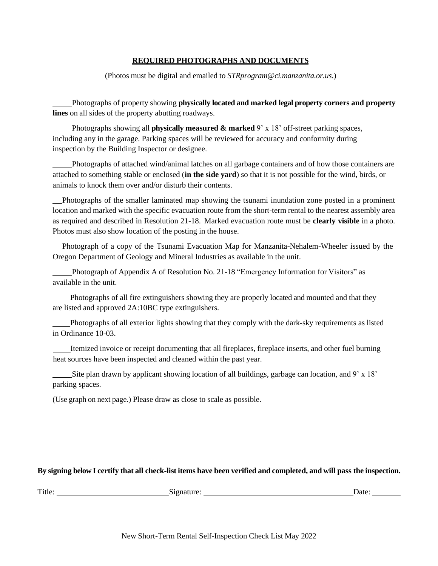## **REQUIRED PHOTOGRAPHS AND DOCUMENTS**

(Photos must be digital and emailed to *STRprogram@ci.manzanita.or.us*.)

Photographs of property showing **physically located and marked legal property corners and property lines** on all sides of the property abutting roadways.

Photographs showing all **physically measured & marked** 9' x 18' off-street parking spaces, including any in the garage. Parking spaces will be reviewed for accuracy and conformity during inspection by the Building Inspector or designee.

Photographs of attached wind/animal latches on all garbage containers and of how those containers are attached to something stable or enclosed (**in the side yard**) so that it is not possible for the wind, birds, or animals to knock them over and/or disturb their contents.

 Photographs of the smaller laminated map showing the tsunami inundation zone posted in a prominent location and marked with the specific evacuation route from the short-term rental to the nearest assembly area as required and described in Resolution 21-18. Marked evacuation route must be **clearly visible** in a photo. Photos must also show location of the posting in the house.

 Photograph of a copy of the Tsunami Evacuation Map for Manzanita-Nehalem-Wheeler issued by the Oregon Department of Geology and Mineral Industries as available in the unit.

Photograph of Appendix A of Resolution No. 21-18 "Emergency Information for Visitors" as available in the unit.

Photographs of all fire extinguishers showing they are properly located and mounted and that they are listed and approved 2A:10BC type extinguishers.

Photographs of all exterior lights showing that they comply with the dark-sky requirements as listed in Ordinance 10-03.

Itemized invoice or receipt documenting that all fireplaces, fireplace inserts, and other fuel burning heat sources have been inspected and cleaned within the past year.

Site plan drawn by applicant showing location of all buildings, garbage can location, and  $9' \times 18'$ parking spaces.

(Use graph on next page.) Please draw as close to scale as possible.

## **By signing below I certify that all check-list items have been verified and completed, and will pass the inspection.**

| Title: | $\sim$ | Jate |
|--------|--------|------|
|        |        |      |